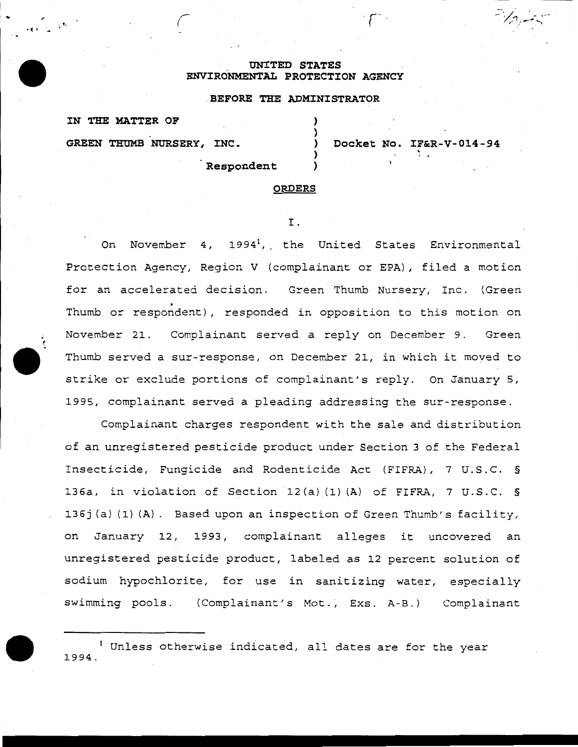### **UNITED STATES ENVIRONMENTAL PROTECTION AGENCY**

# **BEFORE THE ADMINISTRATOR**

) ) ) ) )

**GREEN THUMB NURSERY, INC.** 

**IN THE MATTER OF** 

**Docket No. IF&R-V-014-94**  ' . . **Respondent** 

 $\mathcal{F}^{\perp}$ 

#### **ORDERS**

I.

On November 4, 1994<sup>1</sup>, the United States Environmental Protection Agency, Region V (complainant or EPA), filed a motion for an accelerated decision. Green Thumb Nursery, Inc. (Green . Thumb or respondent), responded in opposition to this motion on November 21. Complainant served a reply on December 9. Green Thumb served a sur-response, on December 21, in which it moved to strike or exclude portions of complainant's reply. On January 5, 1995, complainant served a pleading addressing the sur-response.

Complainant charges respondent with the sale and distribution of an unregistered pesticide product under Section 3 of the Federal Insecticide, Fungicide and Rodenticide Act (FIFRA) , 7 U.S. C. § 136a, in violation of Section 12(a) (1) (A) of FIFRA, 7 U.S.C. § 136j(a)(1)(A). Based upon an inspection of Green Thumb's facility, on January 12, 1993, complainant alleges it uncovered an unregistered pesticide product, labeled as 12 percent solution of sodium hypochlorite, for use in sanitizing water, especially swimming pools. (Complainant's Mot., Exs. A-B.) Complainant

<sup>1</sup> Unless otherwise indicated, all dates are for the year 1994.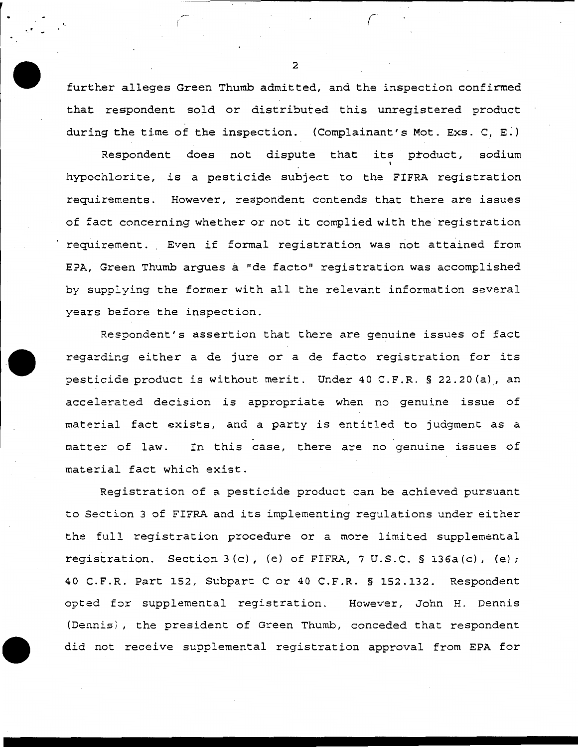further alleges Green Thumb admitted, and the inspection confirmed that respondent sold or distributed this unregistered product during the time of the inspection. (Complainant's Mot. Exs. C, E.)

Respondent does not dispute that its product, sodium hypochlorite, *is* a pesticide subject to the FIFRA registration requirements. However, respondent contends that there are issues of fact concerning whether or not it complied with the registration requirement. Even if formal registration was not attained from EPA, Green Thumb argues a "de facto" registration was accomplished by supp:ying the former with all the relevant information several years before the inspection.

Respondent's assertion that there are genuine issues of fact regarding either a de jure or a de facto registration for its pesticide product is without merit. Under 40 C.F.R. § 22.20(a), an accelerated decision is appropriate when no genuine issue of material fact exists, and a party is entitled to judgment as a matter of law. In this case, there are no genuine issues of material fact which exist.

Registration of a pesticide product can be achieved pursuant to Section 3 of FIFRA and its implementing regulations under either the full registration procedure or a more limited supplemental registration. Section 3(c), (e) of FIFRA, 7 U.S.C. § 136a(c), (e); 40 C.F.R. Part 152, Subpart Cor 40 C.F.R. § 152.132. Respondent opted for supplemental registration. However, John H. Dennis (Dennis/, the president of Green Thumb, conceded that respondent did not receive supplemental registration approval from EPA for

2

..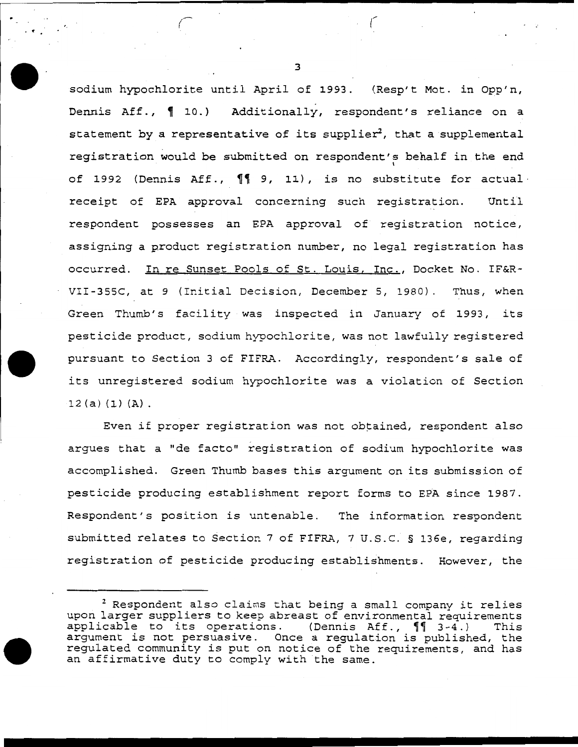sodium hypochlorite until April of 1993. (Resp't Mot. in Opp'n, Dennis Aff., 10.) Additionally, respondent's reliance on a statement by a representative of its supplier<sup>2</sup>, that a supplemental registration would be submitted on respondent's behalf in the end of 1992 (Dennis Aff.,  $\P$ <sup>9</sup>, 11), is no substitute for actual receipt of EPA approval concerning such registration. Until respondent possesses an EPA approval of registration notice, assigning a product registration number, no legal registration has occurred. In re Sunset Pools of St. Louis, Inc., Docket No. IF&R-VII-355C, at 9 (Initial Decision, December 5, 1980). Thus, when Green Thumb's facility was inspected in January of 1993, its pesticide product, sodium hypochlorite, was not lawfully registered pursuant to Section 3 of FIFRA. Accordingly, respondent's sale of its unregistered sodium hypochlorite was a violation of Section  $12(a) (1) (A)$ .

Even if proper registration was not obtained, respondent also argues that a "de facto" registration of sodium hypochlorite was accomplished. Green Thumb bases this argument on its submission of pesticide producing establishment report forms to EPA since 1987. Respondent's position *is* untenable. The information respondent submitted relates to Section 7 of FIFRA, 7 U.S.C. § 136e, regarding registration of pesticide producing establishments. However, the

3

*(--* (

. <sup>~</sup>

<sup>2</sup> Respondent also claims that being a small company it relies upon larger suppliers to keep abreast of environmental requirements<br>applicable to its operations. (Dennis Aff., 11 3-4.) This applicable to its operations. (Dennis Aff.,  $\P$  3-4.) argument *is* not persuasive. Once a regulation is published, the regulated community is put on notice of the requirements, and has an affirmative duty to comply with the same.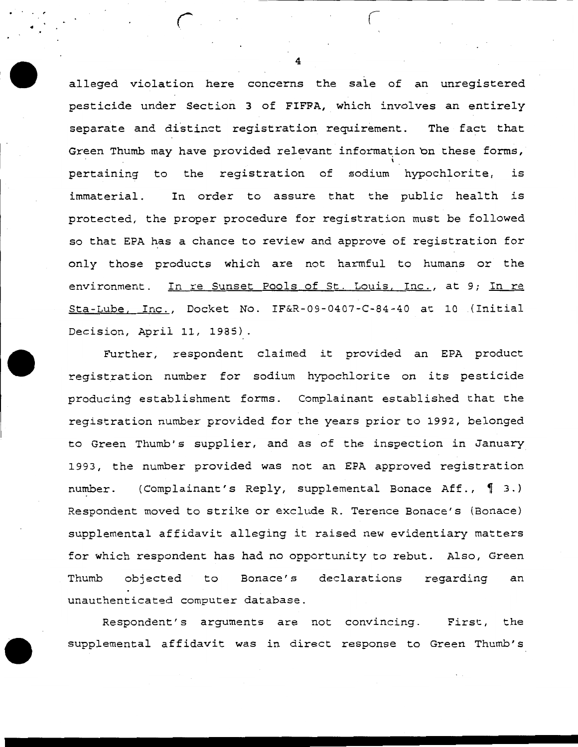alleged violation here concerns the sale of an unregistered pesticide under Section 3 of FIFPA, which involves an entirely separate and distinct registration requirement. The fact that Green Thumb may have provided relevant information on these forms, I pertaining to the registration of sodium hypochlorite, is immaterial. In order to assure that the public health is protected, the proper procedure for registration must be followed so that EPA has a chance to review and approve of registration for only those products which are not harmful to humans or the environment. In re Sunset Pools of St. Louis, Inc., at 9; In re Sta-Lube, Inc., Docket No. IF&R-09-0407-C-84-40 at 10 (Initial Decision, April 11, 1985).

Further, respondent claimed it provided an EPA product registration number for sodium hypochlorite on its pesticide producing establishment forms. Complainant established that the registration number provided for the years prior to 1992, belonged to Green Thumb's supplier, and as of the inspection in January 1993, the number provided was not an EPA approved registration number. (Complainant's Reply, supplemental Bonace Aff., 1 3.) Respondent moved to strike or exclude R. Terence Bonace's (Bonace) supplemental affidavit alleging it raised new evidentiary matters for which respondent has had no opportunity to rebut. Also, Green Thumb objected to Bonace's declarations regarding an unauthenticated computer database.

Respondent's arguments are not convincing. First, the supplemental affidavit was in direct response to Green Thumb's

4

• r *r*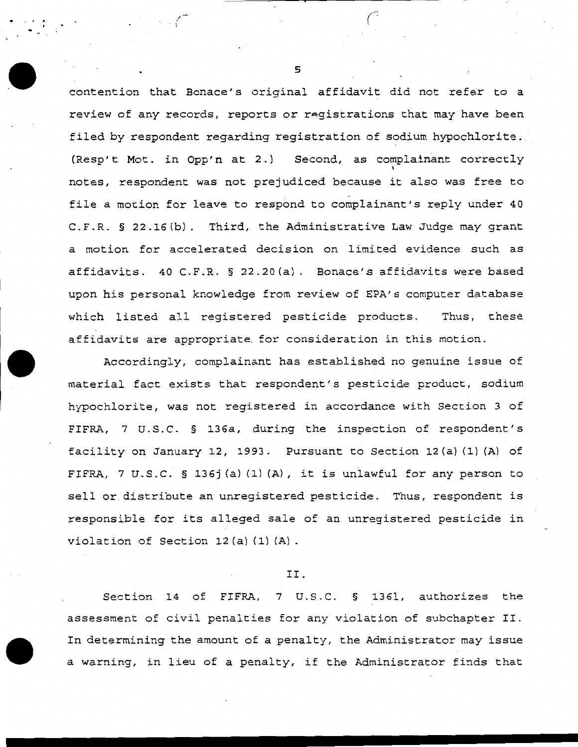contention that Bonace's original affidavit did not refer to a review of any records, reports or registrations that may have been filed by respondent regarding registration of sodium hypochlorite. (Resp't Mot. in Opp'n at 2.) Second, as complainant correctly notes, respondent was not prejudiced because it also was free to file a motion for leave to respond to complainant's reply under 40 C.F.R. § 22.16(b). Third, the Administrative Law Judge may grant a motion for accelerated decision on limited evidence such as affidavits. 40 C.F.R. § 22.20(a). Bonace's affidavits were based upon his personal knowledge from review of EPA's computer database which listed all registered pesticide products. Thus, these affidavits are appropriate. for consideration in this motion.

Accordingly, complainant has established no genuine issue of material fact exists that respondent's pesticide product, sodium hypochlorite, was not registered in accordance with Section 3 of FIFRA, 7 U.S.C. § 136a, during the inspection of respondent's facility on January 12, 1993. Pursuant to Section 12(a) (1) (A) of FIFRA, 7 U.S.C. § 136j (a) (1) (A), it is unlawful for any person to sell or. distribute an unregistered pesticide. Thus, respondent is responsible for its alleged sale of an unregistered pesticide in violation of Section 12(a) (1) (A).

## II.

Section 14 of FIFRA, 7 U.S.C. § 1361, authorizes the assessment of civil penalties for any violation of subchapter II. In determining the amount of a penalty, the Administrator may issue a warning, in lieu of a penalty, if the Administrator finds that

5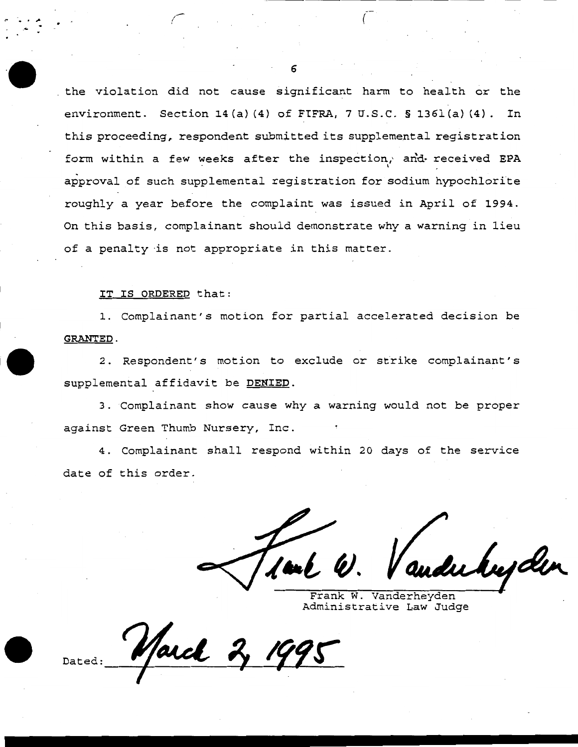the violation did not cause significant harm to health or the environment. Section 14(a) (4) of FIFRA, 7 U.S.C. § 136l(a) (4). In this proceeding, respondent submitted its supplemental registration form within a few weeks after the inspection, and received EPA approval of such supplemental registration for sodium hypochlorite roughly a year before the complaint was issued in April of 1994. On this basis, complainant should demonstrate why a warning in lieu of a penalty ·is not appropriate in this matter.

### IT IS ORDERED that:

.... (

 $\cdot$ ...

1. Complainant's motion for partial accelerated decision be GRANTED.

2. Respondent's motion to exclude or strike complainant's supplemental affidavit be DENIED.

3. Complainant show cause why a warning would not be proper against Green Thumb Nursery, Inc.

4. Complainant shall respond within 20 days of the service date of this order.

1, U. Vandubupden

Administrative Law Judge

Dated:

6